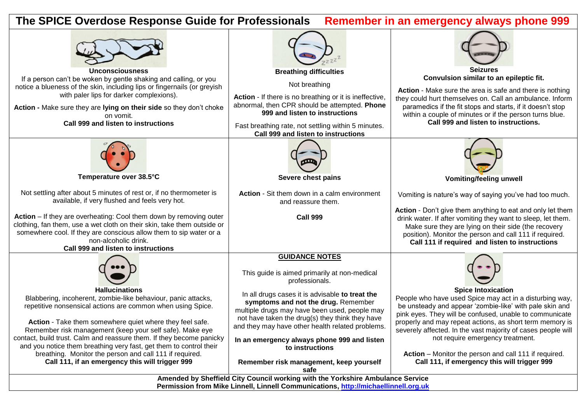## **The SPICE Overdose Response Guide for Professionals Remember in an emergency always phone 999**